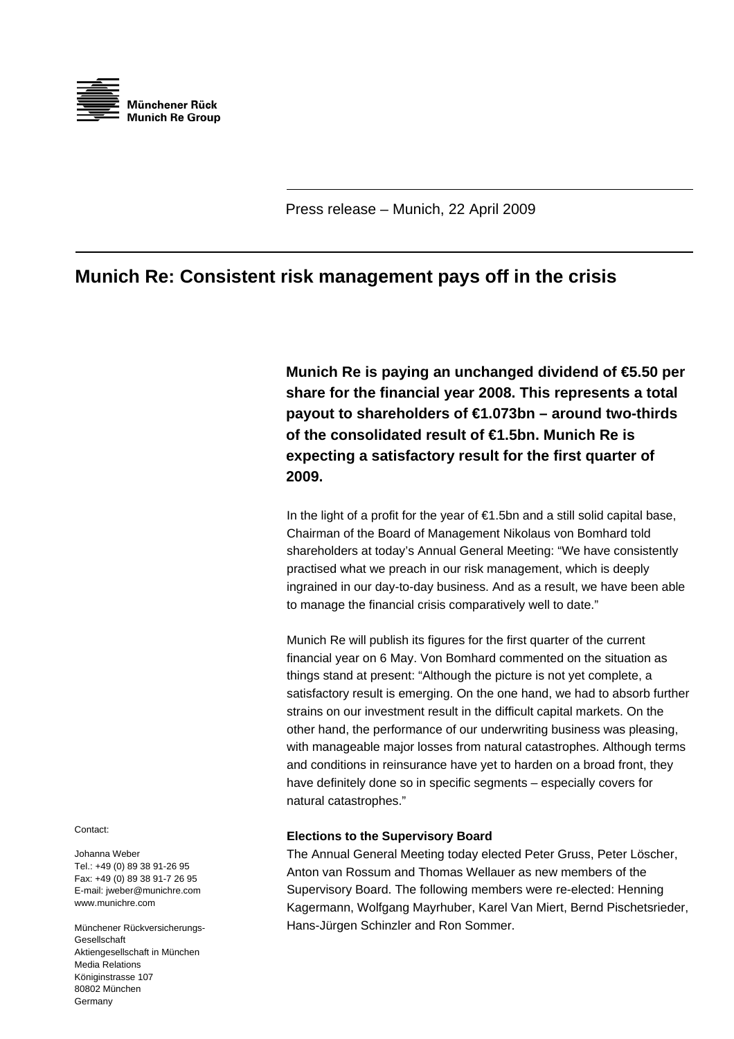

Press release – Munich, 22 April 2009

## **Munich Re: Consistent risk management pays off in the crisis**

**Munich Re is paying an unchanged dividend of €5.50 per share for the financial year 2008. This represents a total payout to shareholders of €1.073bn – around two-thirds of the consolidated result of €1.5bn. Munich Re is expecting a satisfactory result for the first quarter of 2009.** 

In the light of a profit for the year of  $\epsilon$ 1.5bn and a still solid capital base, Chairman of the Board of Management Nikolaus von Bomhard told shareholders at today's Annual General Meeting: "We have consistently practised what we preach in our risk management, which is deeply ingrained in our day-to-day business. And as a result, we have been able to manage the financial crisis comparatively well to date."

with manageable major losses from natural catastrophes. Although terms and conditions in reinsurance have yet to harden on a broad front, they have definitely done so in specific segments - especially covers for Munich Re will publish its figures for the first quarter of the current financial year on 6 May. Von Bomhard commented on the situation as things stand at present: "Although the picture is not yet complete, a satisfactory result is emerging. On the one hand, we had to absorb further strains on our investment result in the difficult capital markets. On the other hand, the performance of our underwriting business was pleasing, natural catastrophes."

## **Elections to the Supervisory Board**

Supervisory Board. The following members were re-elected: Henning Kagermann, Wolfgang Mayrhuber, Karel Van Miert, Bernd Pischetsrieder, The Annual General Meeting today elected Peter Gruss, Peter Löscher, Anton van Rossum and Thomas Wellauer as new members of the Hans-Jürgen Schinzler and Ron Sommer.

Contact:

Johanna Weber Tel.: +49 (0) 89 38 91-26 95 Fax: +49 (0) 89 38 91-7 26 95 E-mail: jweber@munichre.com www.munichre.com

Münchener Rückversicherungs-Gesellschaft Aktiengesellschaft in München Media Relations Königinstrasse 107 80802 München Germany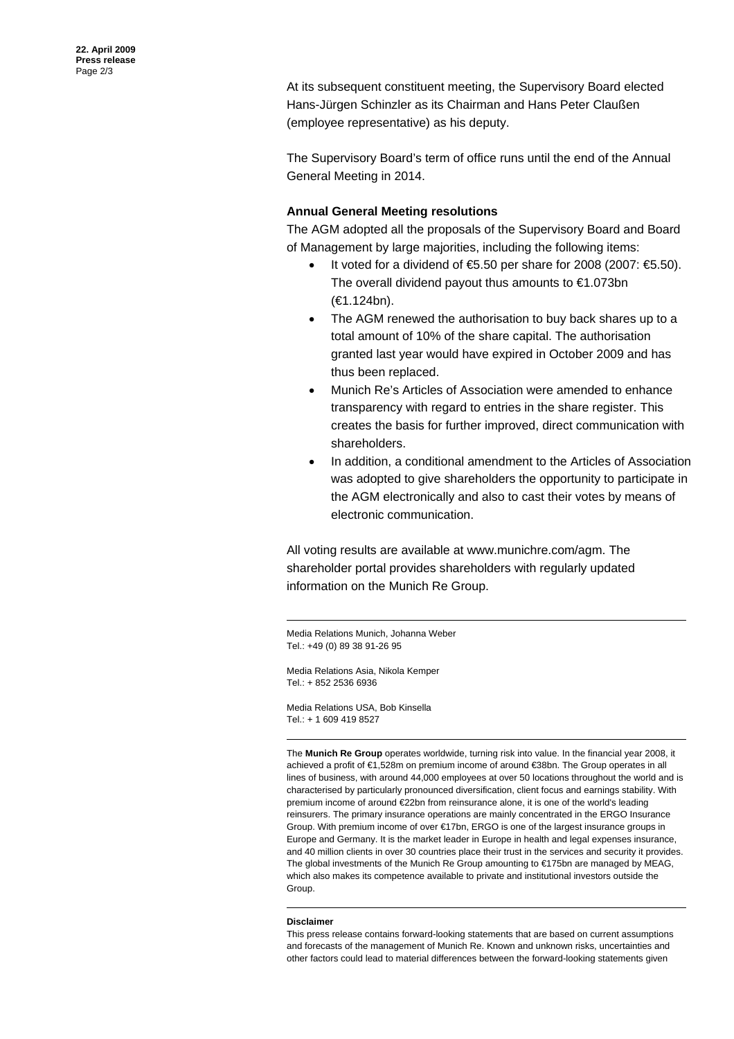At its subsequent constituent meeting, the Supervisory Board elected (employee representative) as his deputy. Hans-Jürgen Schinzler as its Chairman and Hans Peter Claußen

The Supervisory Board's term of office runs until the end of the Annual General Meeting in 2014.

## **Annual General Meeting resolutions**

The AGM adopted all the proposals of the Supervisory Board and Board of Management by large majorities, including the following items:

- It voted for a dividend of  $€5.50$  per share for 2008 (2007:  $€5.50$ ). The overall dividend payout thus amounts to €1.073bn (€1.124bn).
- The AGM renewed the authorisation to buy back shares up to a total amount of 10% of the share capital. The authorisation granted last year would have expired in October 2009 and has thus been replaced.
- Munich Re's Articles of Association were amended to enhance transparency with regard to entries in the share register. This creates the basis for further improved, direct communication with shareholders.
- In addition, a conditional amendment to the Articles of Association was adopted to give shareholders the opportunity to participate in the AGM electronically and also to cast their votes by means of electronic communication.

All voting results are available at www.munichre.com/agm. The shareholder portal provides shareholders with regularly updated information on the Munich Re Group.

Media Relations Munich, Johanna Weber Tel.: +49 (0) 89 38 91-26 95

Media Relations Asia, Nikola Kemper el.: + 852 2536 6936 T

Media Relations USA, Bob Kinsella Tel.: + 1 609 419 8527

The **Munich Re Group** operates worldwide, turning risk into value. In the financial year 2008, i t achieved a profit of €1,528m on premium income of around €38bn. The Group operates in all lines of business, with around 44,000 employees at over 50 locations throughout the world and i s characterised by particularly pronounced diversification, client focus and earnings stability. With premium income of around €22bn from reinsurance alone, it is one of the world's leading reinsurers. The primary insurance operations are mainly concentrated in the ERGO Insurance Group. With premium income of over €17bn, ERGO is one of the largest insurance groups in Europe an d Germany. It is the market leader in Europe in health and legal expenses insurance, and 40 million clients in over 30 countries place their trust in the services and security it provides. The global investments of the Munich Re Group amounting to  $\epsilon$ 175bn are managed by MEAG, which also makes its competence available to private and institutional investors outside the Group.

## **Disclaimer**

This press release contains forward-looking statements that are based on current assumptions and forecasts of the management of Munich Re. Known and unknown risks, uncertainties and other factors could lead to material differences between the forward-looking statements given